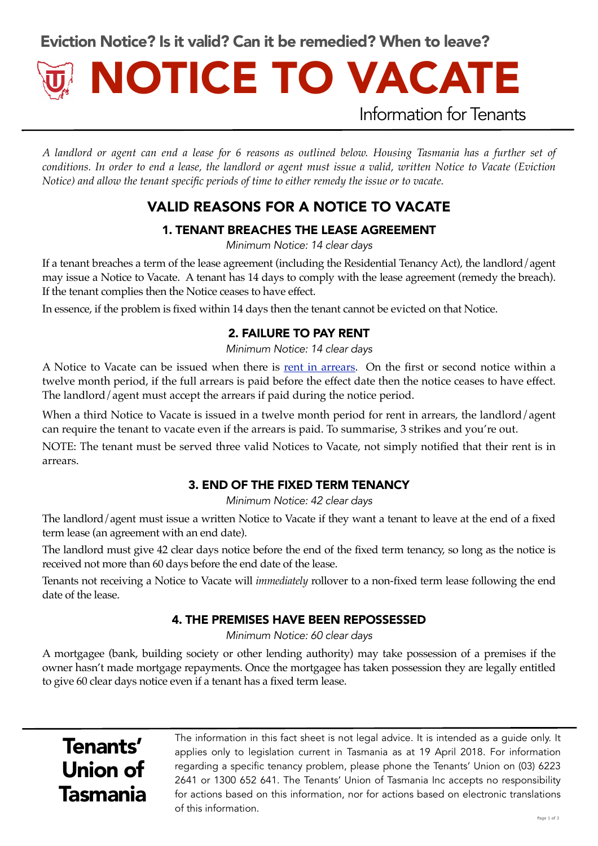Eviction Notice? Is it valid? Can it be remedied? When to leave?

# Information for Tenants NOTICE TO VACATE

*A landlord or agent can end a lease for 6 reasons as outlined below. Housing Tasmania has a further set of conditions. In order to end a lease, the landlord or agent must issue a valid, written Notice to Vacate (Eviction Notice) and allow the tenant specific periods of time to either remedy the issue or to vacate.* 

# VALID REASONS FOR A NOTICE TO VACATE

#### 1. TENANT BREACHES THE LEASE AGREEMENT

*Minimum Notice: 14 clear days*

If a tenant breaches a term of the lease agreement (including the Residential Tenancy Act), the landlord/agent may issue a Notice to Vacate. A tenant has 14 days to comply with the lease agreement (remedy the breach). If the tenant complies then the Notice ceases to have effect.

In essence, if the problem is fixed within 14 days then the tenant cannot be evicted on that Notice.

#### 2. FAILURE TO PAY RENT

*Minimum Notice: 14 clear days*

A Notice to Vacate can be issued when there is [rent in arrears.](http://tutas.org.au/factsheet/rent-arrears/) On the first or second notice within a twelve month period, if the full arrears is paid before the effect date then the notice ceases to have effect. The landlord/agent must accept the arrears if paid during the notice period.

When a third Notice to Vacate is issued in a twelve month period for rent in arrears, the landlord/agent can require the tenant to vacate even if the arrears is paid. To summarise, 3 strikes and you're out.

NOTE: The tenant must be served three valid Notices to Vacate, not simply notified that their rent is in arrears.

#### 3. END OF THE FIXED TERM TENANCY

*Minimum Notice: 42 clear days*

The landlord/agent must issue a written Notice to Vacate if they want a tenant to leave at the end of a fixed term lease (an agreement with an end date).

The landlord must give 42 clear days notice before the end of the fixed term tenancy, so long as the notice is received not more than 60 days before the end date of the lease.

Tenants not receiving a Notice to Vacate will *immediately* rollover to a non-fixed term lease following the end date of the lease.

#### 4. THE PREMISES HAVE BEEN REPOSSESSED

*Minimum Notice: 60 clear days* 

A mortgagee (bank, building society or other lending authority) may take possession of a premises if the owner hasn't made mortgage repayments. Once the mortgagee has taken possession they are legally entitled to give 60 clear days notice even if a tenant has a fixed term lease.

# Tenants' Union of Tasmania

The information in this fact sheet is not legal advice. It is intended as a guide only. It applies only to legislation current in Tasmania as at 19 April 2018. For information regarding a specific tenancy problem, please phone the Tenants' Union on (03) 6223 2641 or 1300 652 641. The Tenants' Union of Tasmania Inc accepts no responsibility for actions based on this information, nor for actions based on electronic translations of this information.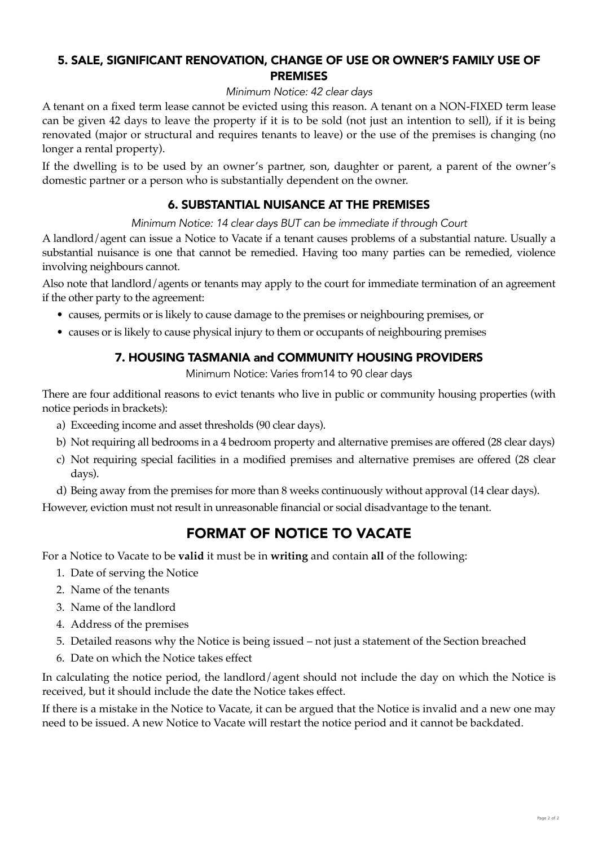#### 5. SALE, SIGNIFICANT RENOVATION, CHANGE OF USE OR OWNER'S FAMILY USE OF PREMISES

#### *Minimum Notice: 42 clear days*

A tenant on a fixed term lease cannot be evicted using this reason. A tenant on a NON-FIXED term lease can be given 42 days to leave the property if it is to be sold (not just an intention to sell), if it is being renovated (major or structural and requires tenants to leave) or the use of the premises is changing (no longer a rental property).

If the dwelling is to be used by an owner's partner, son, daughter or parent, a parent of the owner's domestic partner or a person who is substantially dependent on the owner.

#### 6. SUBSTANTIAL NUISANCE AT THE PREMISES

#### *Minimum Notice: 14 clear days BUT can be immediate if through Court*

A landlord/agent can issue a Notice to Vacate if a tenant causes problems of a substantial nature. Usually a substantial nuisance is one that cannot be remedied. Having too many parties can be remedied, violence involving neighbours cannot.

Also note that landlord/agents or tenants may apply to the court for immediate termination of an agreement if the other party to the agreement:

- causes, permits or is likely to cause damage to the premises or neighbouring premises, or
- causes or is likely to cause physical injury to them or occupants of neighbouring premises

#### 7. HOUSING TASMANIA and COMMUNITY HOUSING PROVIDERS

Minimum Notice: Varies from14 to 90 clear days

There are four additional reasons to evict tenants who live in public or community housing properties (with notice periods in brackets):

- a) Exceeding income and asset thresholds (90 clear days).
- b) Not requiring all bedrooms in a 4 bedroom property and alternative premises are offered (28 clear days)
- c) Not requiring special facilities in a modified premises and alternative premises are offered (28 clear days).
- d) Being away from the premises for more than 8 weeks continuously without approval (14 clear days).

However, eviction must not result in unreasonable financial or social disadvantage to the tenant.

# FORMAT OF NOTICE TO VACATE

For a Notice to Vacate to be **valid** it must be in **writing** and contain **all** of the following:

- 1. Date of serving the Notice
- 2. Name of the tenants
- 3. Name of the landlord
- 4. Address of the premises
- 5. Detailed reasons why the Notice is being issued not just a statement of the Section breached
- 6. Date on which the Notice takes effect

In calculating the notice period, the landlord/agent should not include the day on which the Notice is received, but it should include the date the Notice takes effect.

If there is a mistake in the Notice to Vacate, it can be argued that the Notice is invalid and a new one may need to be issued. A new Notice to Vacate will restart the notice period and it cannot be backdated.